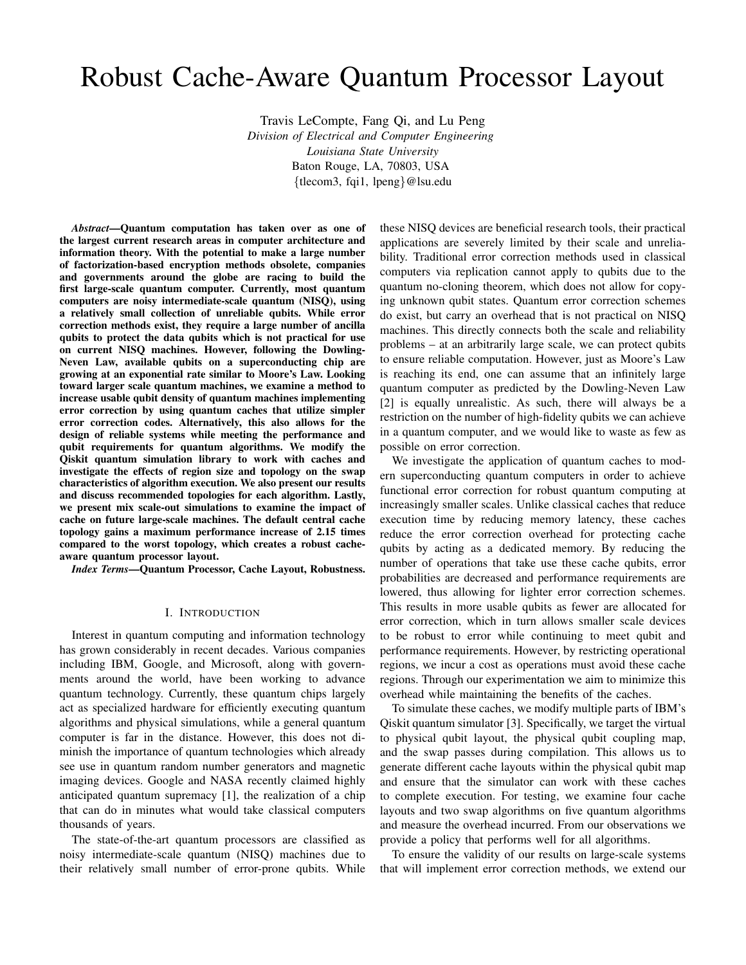# Robust Cache-Aware Quantum Processor Layout

Travis LeCompte, Fang Qi, and Lu Peng *Division of Electrical and Computer Engineering Louisiana State University* Baton Rouge, LA, 70803, USA {tlecom3, fqi1, lpeng}@lsu.edu

*Abstract*—Quantum computation has taken over as one of the largest current research areas in computer architecture and information theory. With the potential to make a large number of factorization-based encryption methods obsolete, companies and governments around the globe are racing to build the first large-scale quantum computer. Currently, most quantum computers are noisy intermediate-scale quantum (NISQ), using a relatively small collection of unreliable qubits. While error correction methods exist, they require a large number of ancilla qubits to protect the data qubits which is not practical for use on current NISQ machines. However, following the Dowling-Neven Law, available qubits on a superconducting chip are growing at an exponential rate similar to Moore's Law. Looking toward larger scale quantum machines, we examine a method to increase usable qubit density of quantum machines implementing error correction by using quantum caches that utilize simpler error correction codes. Alternatively, this also allows for the design of reliable systems while meeting the performance and qubit requirements for quantum algorithms. We modify the Qiskit quantum simulation library to work with caches and investigate the effects of region size and topology on the swap characteristics of algorithm execution. We also present our results and discuss recommended topologies for each algorithm. Lastly, we present mix scale-out simulations to examine the impact of cache on future large-scale machines. The default central cache topology gains a maximum performance increase of 2.15 times compared to the worst topology, which creates a robust cacheaware quantum processor layout.

*Index Terms*—Quantum Processor, Cache Layout, Robustness.

#### I. INTRODUCTION

Interest in quantum computing and information technology has grown considerably in recent decades. Various companies including IBM, Google, and Microsoft, along with governments around the world, have been working to advance quantum technology. Currently, these quantum chips largely act as specialized hardware for efficiently executing quantum algorithms and physical simulations, while a general quantum computer is far in the distance. However, this does not diminish the importance of quantum technologies which already see use in quantum random number generators and magnetic imaging devices. Google and NASA recently claimed highly anticipated quantum supremacy [1], the realization of a chip that can do in minutes what would take classical computers thousands of years.

The state-of-the-art quantum processors are classified as noisy intermediate-scale quantum (NISQ) machines due to their relatively small number of error-prone qubits. While

these NISQ devices are beneficial research tools, their practical applications are severely limited by their scale and unreliability. Traditional error correction methods used in classical computers via replication cannot apply to qubits due to the quantum no-cloning theorem, which does not allow for copying unknown qubit states. Quantum error correction schemes do exist, but carry an overhead that is not practical on NISQ machines. This directly connects both the scale and reliability problems – at an arbitrarily large scale, we can protect qubits to ensure reliable computation. However, just as Moore's Law is reaching its end, one can assume that an infinitely large quantum computer as predicted by the Dowling-Neven Law [2] is equally unrealistic. As such, there will always be a restriction on the number of high-fidelity qubits we can achieve in a quantum computer, and we would like to waste as few as possible on error correction.

We investigate the application of quantum caches to modern superconducting quantum computers in order to achieve functional error correction for robust quantum computing at increasingly smaller scales. Unlike classical caches that reduce execution time by reducing memory latency, these caches reduce the error correction overhead for protecting cache qubits by acting as a dedicated memory. By reducing the number of operations that take use these cache qubits, error probabilities are decreased and performance requirements are lowered, thus allowing for lighter error correction schemes. This results in more usable qubits as fewer are allocated for error correction, which in turn allows smaller scale devices to be robust to error while continuing to meet qubit and performance requirements. However, by restricting operational regions, we incur a cost as operations must avoid these cache regions. Through our experimentation we aim to minimize this overhead while maintaining the benefits of the caches.

To simulate these caches, we modify multiple parts of IBM's Qiskit quantum simulator [3]. Specifically, we target the virtual to physical qubit layout, the physical qubit coupling map, and the swap passes during compilation. This allows us to generate different cache layouts within the physical qubit map and ensure that the simulator can work with these caches to complete execution. For testing, we examine four cache layouts and two swap algorithms on five quantum algorithms and measure the overhead incurred. From our observations we provide a policy that performs well for all algorithms.

To ensure the validity of our results on large-scale systems that will implement error correction methods, we extend our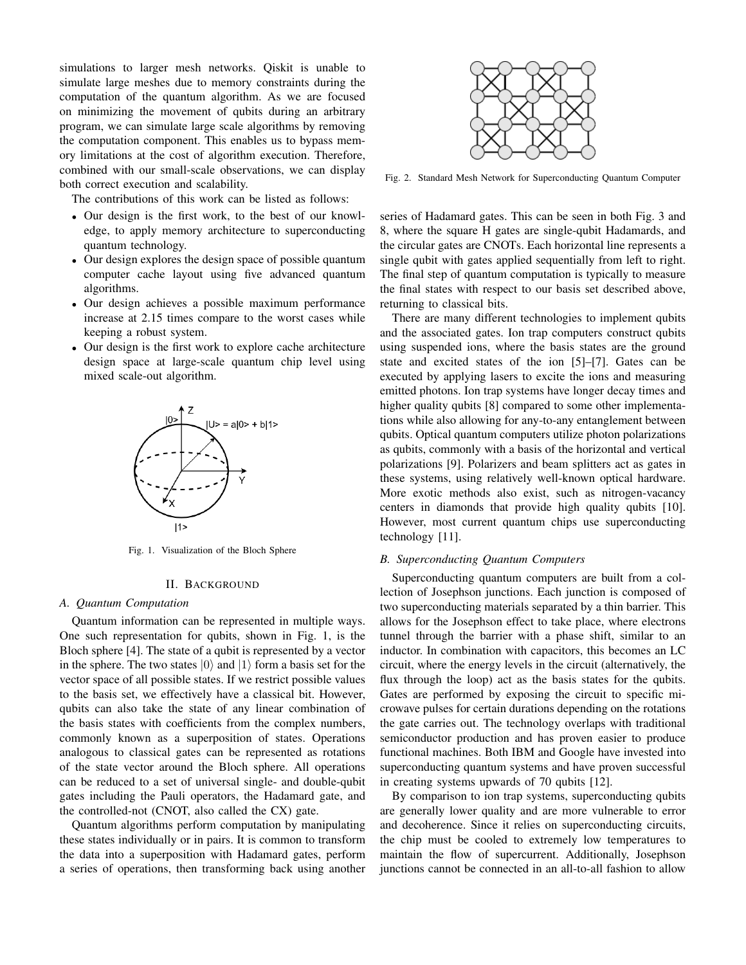simulations to larger mesh networks. Qiskit is unable to simulate large meshes due to memory constraints during the computation of the quantum algorithm. As we are focused on minimizing the movement of qubits during an arbitrary program, we can simulate large scale algorithms by removing the computation component. This enables us to bypass memory limitations at the cost of algorithm execution. Therefore, combined with our small-scale observations, we can display both correct execution and scalability.

The contributions of this work can be listed as follows:

- Our design is the first work, to the best of our knowledge, to apply memory architecture to superconducting quantum technology.
- Our design explores the design space of possible quantum computer cache layout using five advanced quantum algorithms.
- Our design achieves a possible maximum performance increase at 2.15 times compare to the worst cases while keeping a robust system.
- Our design is the first work to explore cache architecture design space at large-scale quantum chip level using mixed scale-out algorithm.



Fig. 1. Visualization of the Bloch Sphere

#### II. BACKGROUND

# *A. Quantum Computation*

Quantum information can be represented in multiple ways. One such representation for qubits, shown in Fig. 1, is the Bloch sphere [4]. The state of a qubit is represented by a vector in the sphere. The two states  $|0\rangle$  and  $|1\rangle$  form a basis set for the vector space of all possible states. If we restrict possible values to the basis set, we effectively have a classical bit. However, qubits can also take the state of any linear combination of the basis states with coefficients from the complex numbers, commonly known as a superposition of states. Operations analogous to classical gates can be represented as rotations of the state vector around the Bloch sphere. All operations can be reduced to a set of universal single- and double-qubit gates including the Pauli operators, the Hadamard gate, and the controlled-not (CNOT, also called the CX) gate.

Quantum algorithms perform computation by manipulating these states individually or in pairs. It is common to transform the data into a superposition with Hadamard gates, perform a series of operations, then transforming back using another



Fig. 2. Standard Mesh Network for Superconducting Quantum Computer

series of Hadamard gates. This can be seen in both Fig. 3 and 8, where the square H gates are single-qubit Hadamards, and the circular gates are CNOTs. Each horizontal line represents a single qubit with gates applied sequentially from left to right. The final step of quantum computation is typically to measure the final states with respect to our basis set described above, returning to classical bits.

There are many different technologies to implement qubits and the associated gates. Ion trap computers construct qubits using suspended ions, where the basis states are the ground state and excited states of the ion [5]–[7]. Gates can be executed by applying lasers to excite the ions and measuring emitted photons. Ion trap systems have longer decay times and higher quality qubits [8] compared to some other implementations while also allowing for any-to-any entanglement between qubits. Optical quantum computers utilize photon polarizations as qubits, commonly with a basis of the horizontal and vertical polarizations [9]. Polarizers and beam splitters act as gates in these systems, using relatively well-known optical hardware. More exotic methods also exist, such as nitrogen-vacancy centers in diamonds that provide high quality qubits [10]. However, most current quantum chips use superconducting technology [11].

#### *B. Superconducting Quantum Computers*

Superconducting quantum computers are built from a collection of Josephson junctions. Each junction is composed of two superconducting materials separated by a thin barrier. This allows for the Josephson effect to take place, where electrons tunnel through the barrier with a phase shift, similar to an inductor. In combination with capacitors, this becomes an LC circuit, where the energy levels in the circuit (alternatively, the flux through the loop) act as the basis states for the qubits. Gates are performed by exposing the circuit to specific microwave pulses for certain durations depending on the rotations the gate carries out. The technology overlaps with traditional semiconductor production and has proven easier to produce functional machines. Both IBM and Google have invested into superconducting quantum systems and have proven successful in creating systems upwards of 70 qubits [12].

By comparison to ion trap systems, superconducting qubits are generally lower quality and are more vulnerable to error and decoherence. Since it relies on superconducting circuits, the chip must be cooled to extremely low temperatures to maintain the flow of supercurrent. Additionally, Josephson junctions cannot be connected in an all-to-all fashion to allow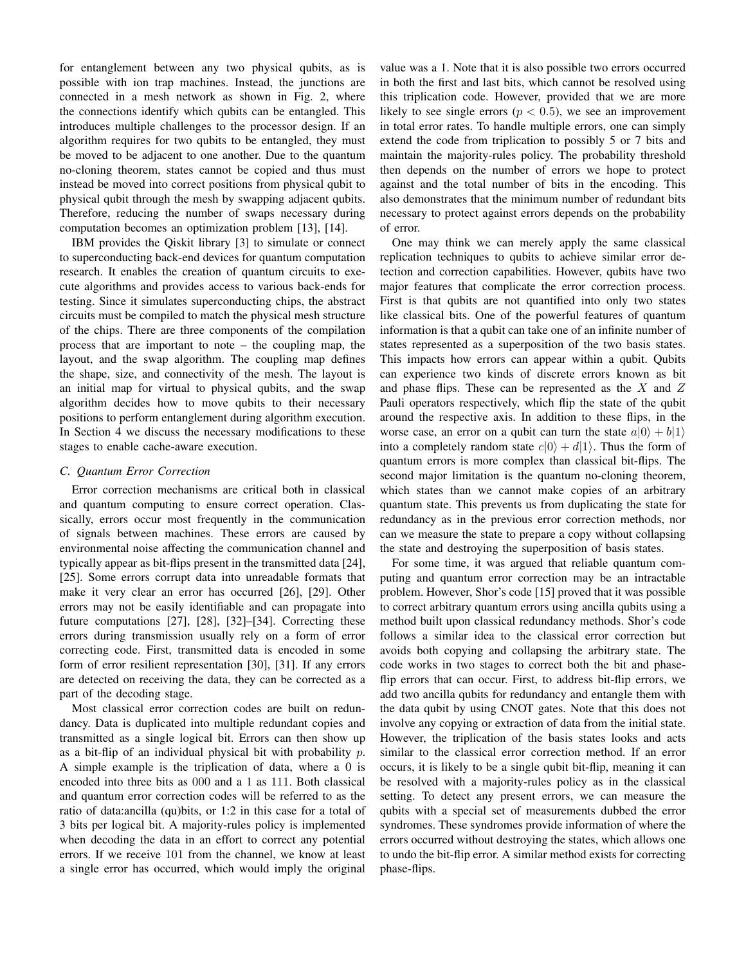for entanglement between any two physical qubits, as is possible with ion trap machines. Instead, the junctions are connected in a mesh network as shown in Fig. 2, where the connections identify which qubits can be entangled. This introduces multiple challenges to the processor design. If an algorithm requires for two qubits to be entangled, they must be moved to be adjacent to one another. Due to the quantum no-cloning theorem, states cannot be copied and thus must instead be moved into correct positions from physical qubit to physical qubit through the mesh by swapping adjacent qubits. Therefore, reducing the number of swaps necessary during computation becomes an optimization problem [13], [14].

IBM provides the Qiskit library [3] to simulate or connect to superconducting back-end devices for quantum computation research. It enables the creation of quantum circuits to execute algorithms and provides access to various back-ends for testing. Since it simulates superconducting chips, the abstract circuits must be compiled to match the physical mesh structure of the chips. There are three components of the compilation process that are important to note – the coupling map, the layout, and the swap algorithm. The coupling map defines the shape, size, and connectivity of the mesh. The layout is an initial map for virtual to physical qubits, and the swap algorithm decides how to move qubits to their necessary positions to perform entanglement during algorithm execution. In Section 4 we discuss the necessary modifications to these stages to enable cache-aware execution.

## *C. Quantum Error Correction*

Error correction mechanisms are critical both in classical and quantum computing to ensure correct operation. Classically, errors occur most frequently in the communication of signals between machines. These errors are caused by environmental noise affecting the communication channel and typically appear as bit-flips present in the transmitted data [24], [25]. Some errors corrupt data into unreadable formats that make it very clear an error has occurred [26], [29]. Other errors may not be easily identifiable and can propagate into future computations [27], [28], [32]–[34]. Correcting these errors during transmission usually rely on a form of error correcting code. First, transmitted data is encoded in some form of error resilient representation [30], [31]. If any errors are detected on receiving the data, they can be corrected as a part of the decoding stage.

Most classical error correction codes are built on redundancy. Data is duplicated into multiple redundant copies and transmitted as a single logical bit. Errors can then show up as a bit-flip of an individual physical bit with probability  $p$ . A simple example is the triplication of data, where a 0 is encoded into three bits as 000 and a 1 as 111. Both classical and quantum error correction codes will be referred to as the ratio of data:ancilla (qu)bits, or 1:2 in this case for a total of 3 bits per logical bit. A majority-rules policy is implemented when decoding the data in an effort to correct any potential errors. If we receive 101 from the channel, we know at least a single error has occurred, which would imply the original value was a 1. Note that it is also possible two errors occurred in both the first and last bits, which cannot be resolved using this triplication code. However, provided that we are more likely to see single errors ( $p < 0.5$ ), we see an improvement in total error rates. To handle multiple errors, one can simply extend the code from triplication to possibly 5 or 7 bits and maintain the majority-rules policy. The probability threshold then depends on the number of errors we hope to protect against and the total number of bits in the encoding. This also demonstrates that the minimum number of redundant bits necessary to protect against errors depends on the probability of error.

One may think we can merely apply the same classical replication techniques to qubits to achieve similar error detection and correction capabilities. However, qubits have two major features that complicate the error correction process. First is that qubits are not quantified into only two states like classical bits. One of the powerful features of quantum information is that a qubit can take one of an infinite number of states represented as a superposition of the two basis states. This impacts how errors can appear within a qubit. Qubits can experience two kinds of discrete errors known as bit and phase flips. These can be represented as the  $X$  and  $Z$ Pauli operators respectively, which flip the state of the qubit around the respective axis. In addition to these flips, in the worse case, an error on a qubit can turn the state  $a|0\rangle + b|1\rangle$ into a completely random state  $c|0\rangle + d|1\rangle$ . Thus the form of quantum errors is more complex than classical bit-flips. The second major limitation is the quantum no-cloning theorem, which states than we cannot make copies of an arbitrary quantum state. This prevents us from duplicating the state for redundancy as in the previous error correction methods, nor can we measure the state to prepare a copy without collapsing the state and destroying the superposition of basis states.

For some time, it was argued that reliable quantum computing and quantum error correction may be an intractable problem. However, Shor's code [15] proved that it was possible to correct arbitrary quantum errors using ancilla qubits using a method built upon classical redundancy methods. Shor's code follows a similar idea to the classical error correction but avoids both copying and collapsing the arbitrary state. The code works in two stages to correct both the bit and phaseflip errors that can occur. First, to address bit-flip errors, we add two ancilla qubits for redundancy and entangle them with the data qubit by using CNOT gates. Note that this does not involve any copying or extraction of data from the initial state. However, the triplication of the basis states looks and acts similar to the classical error correction method. If an error occurs, it is likely to be a single qubit bit-flip, meaning it can be resolved with a majority-rules policy as in the classical setting. To detect any present errors, we can measure the qubits with a special set of measurements dubbed the error syndromes. These syndromes provide information of where the errors occurred without destroying the states, which allows one to undo the bit-flip error. A similar method exists for correcting phase-flips.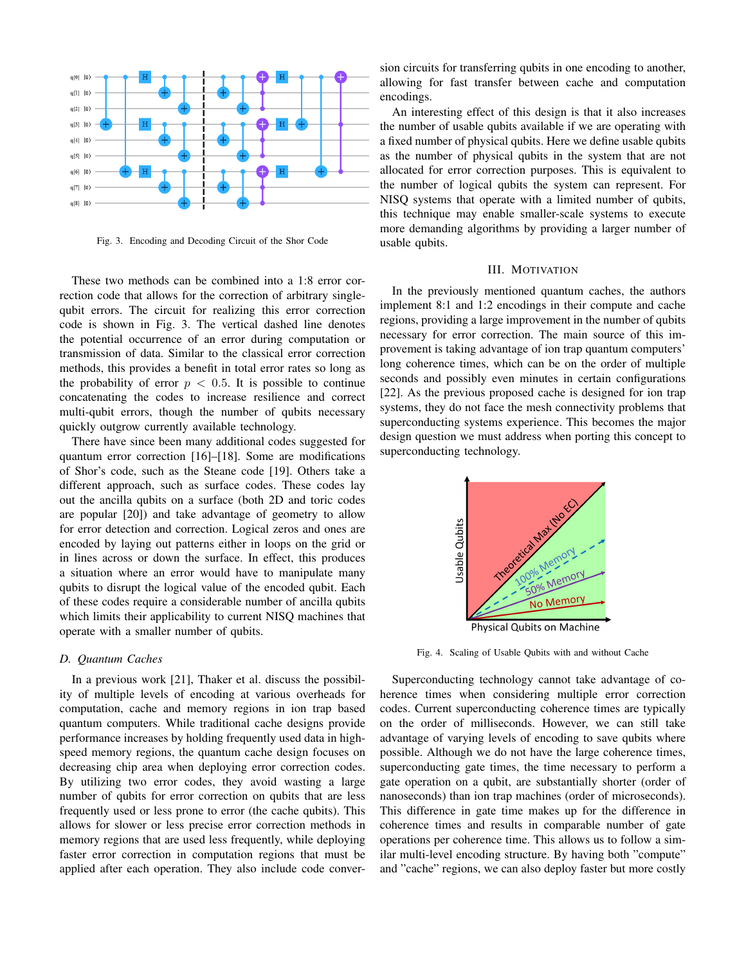

Fig. 3. Encoding and Decoding Circuit of the Shor Code

These two methods can be combined into a 1:8 error correction code that allows for the correction of arbitrary singlequbit errors. The circuit for realizing this error correction code is shown in Fig. 3. The vertical dashed line denotes the potential occurrence of an error during computation or transmission of data. Similar to the classical error correction methods, this provides a benefit in total error rates so long as the probability of error  $p < 0.5$ . It is possible to continue concatenating the codes to increase resilience and correct multi-qubit errors, though the number of qubits necessary quickly outgrow currently available technology.

There have since been many additional codes suggested for quantum error correction [16]–[18]. Some are modifications of Shor's code, such as the Steane code [19]. Others take a different approach, such as surface codes. These codes lay out the ancilla qubits on a surface (both 2D and toric codes are popular [20]) and take advantage of geometry to allow for error detection and correction. Logical zeros and ones are encoded by laying out patterns either in loops on the grid or in lines across or down the surface. In effect, this produces a situation where an error would have to manipulate many qubits to disrupt the logical value of the encoded qubit. Each of these codes require a considerable number of ancilla qubits which limits their applicability to current NISQ machines that operate with a smaller number of qubits.

# *D. Quantum Caches*

In a previous work [21], Thaker et al. discuss the possibility of multiple levels of encoding at various overheads for computation, cache and memory regions in ion trap based quantum computers. While traditional cache designs provide performance increases by holding frequently used data in highspeed memory regions, the quantum cache design focuses on decreasing chip area when deploying error correction codes. By utilizing two error codes, they avoid wasting a large number of qubits for error correction on qubits that are less frequently used or less prone to error (the cache qubits). This allows for slower or less precise error correction methods in memory regions that are used less frequently, while deploying faster error correction in computation regions that must be applied after each operation. They also include code conver-

sion circuits for transferring qubits in one encoding to another, allowing for fast transfer between cache and computation encodings.

An interesting effect of this design is that it also increases the number of usable qubits available if we are operating with a fixed number of physical qubits. Here we define usable qubits as the number of physical qubits in the system that are not allocated for error correction purposes. This is equivalent to the number of logical qubits the system can represent. For NISQ systems that operate with a limited number of qubits, this technique may enable smaller-scale systems to execute more demanding algorithms by providing a larger number of usable qubits.

## III. MOTIVATION

In the previously mentioned quantum caches, the authors implement 8:1 and 1:2 encodings in their compute and cache regions, providing a large improvement in the number of qubits necessary for error correction. The main source of this improvement is taking advantage of ion trap quantum computers' long coherence times, which can be on the order of multiple seconds and possibly even minutes in certain configurations [22]. As the previous proposed cache is designed for ion trap systems, they do not face the mesh connectivity problems that superconducting systems experience. This becomes the major design question we must address when porting this concept to superconducting technology.



Fig. 4. Scaling of Usable Qubits with and without Cache

Superconducting technology cannot take advantage of coherence times when considering multiple error correction codes. Current superconducting coherence times are typically on the order of milliseconds. However, we can still take advantage of varying levels of encoding to save qubits where possible. Although we do not have the large coherence times, superconducting gate times, the time necessary to perform a gate operation on a qubit, are substantially shorter (order of nanoseconds) than ion trap machines (order of microseconds). This difference in gate time makes up for the difference in coherence times and results in comparable number of gate operations per coherence time. This allows us to follow a similar multi-level encoding structure. By having both "compute" and "cache" regions, we can also deploy faster but more costly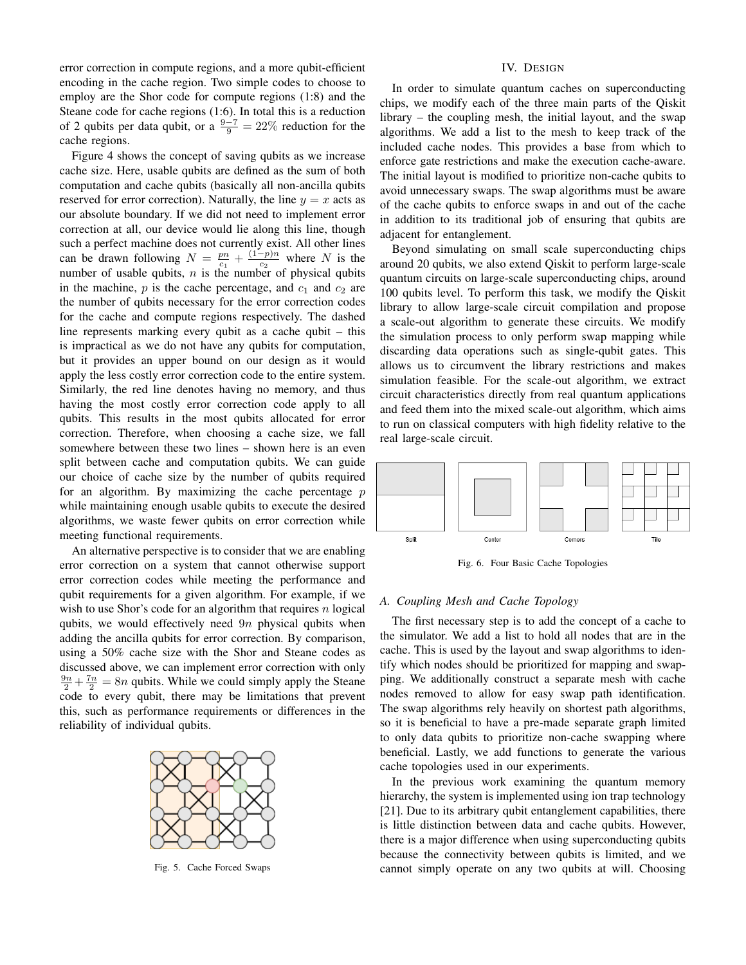error correction in compute regions, and a more qubit-efficient encoding in the cache region. Two simple codes to choose to employ are the Shor code for compute regions (1:8) and the Steane code for cache regions (1:6). In total this is a reduction of 2 qubits per data qubit, or a  $\frac{9-7}{9} = 22\%$  reduction for the cache regions.

Figure 4 shows the concept of saving qubits as we increase cache size. Here, usable qubits are defined as the sum of both computation and cache qubits (basically all non-ancilla qubits reserved for error correction). Naturally, the line  $y = x$  acts as our absolute boundary. If we did not need to implement error correction at all, our device would lie along this line, though such a perfect machine does not currently exist. All other lines can be drawn following  $N = \frac{pn}{c_1} + \frac{(1-p)n}{c_2}$  $\frac{-p}{c_2}$  where N is the number of usable qubits,  $n$  is the number of physical qubits in the machine,  $p$  is the cache percentage, and  $c_1$  and  $c_2$  are the number of qubits necessary for the error correction codes for the cache and compute regions respectively. The dashed line represents marking every qubit as a cache qubit – this is impractical as we do not have any qubits for computation, but it provides an upper bound on our design as it would apply the less costly error correction code to the entire system. Similarly, the red line denotes having no memory, and thus having the most costly error correction code apply to all qubits. This results in the most qubits allocated for error correction. Therefore, when choosing a cache size, we fall somewhere between these two lines – shown here is an even split between cache and computation qubits. We can guide our choice of cache size by the number of qubits required for an algorithm. By maximizing the cache percentage  $p$ while maintaining enough usable qubits to execute the desired algorithms, we waste fewer qubits on error correction while meeting functional requirements.

An alternative perspective is to consider that we are enabling error correction on a system that cannot otherwise support error correction codes while meeting the performance and qubit requirements for a given algorithm. For example, if we wish to use Shor's code for an algorithm that requires  $n$  logical qubits, we would effectively need  $9n$  physical qubits when adding the ancilla qubits for error correction. By comparison, using a 50% cache size with the Shor and Steane codes as discussed above, we can implement error correction with only  $\frac{9n}{2} + \frac{7n}{2} = 8n$  qubits. While we could simply apply the Steane code to every qubit, there may be limitations that prevent this, such as performance requirements or differences in the reliability of individual qubits.



Fig. 5. Cache Forced Swaps

## IV. DESIGN

In order to simulate quantum caches on superconducting chips, we modify each of the three main parts of the Qiskit library – the coupling mesh, the initial layout, and the swap algorithms. We add a list to the mesh to keep track of the included cache nodes. This provides a base from which to enforce gate restrictions and make the execution cache-aware. The initial layout is modified to prioritize non-cache qubits to avoid unnecessary swaps. The swap algorithms must be aware of the cache qubits to enforce swaps in and out of the cache in addition to its traditional job of ensuring that qubits are adjacent for entanglement.

Beyond simulating on small scale superconducting chips around 20 qubits, we also extend Qiskit to perform large-scale quantum circuits on large-scale superconducting chips, around 100 qubits level. To perform this task, we modify the Qiskit library to allow large-scale circuit compilation and propose a scale-out algorithm to generate these circuits. We modify the simulation process to only perform swap mapping while discarding data operations such as single-qubit gates. This allows us to circumvent the library restrictions and makes simulation feasible. For the scale-out algorithm, we extract circuit characteristics directly from real quantum applications and feed them into the mixed scale-out algorithm, which aims to run on classical computers with high fidelity relative to the real large-scale circuit.



Fig. 6. Four Basic Cache Topologies

#### *A. Coupling Mesh and Cache Topology*

The first necessary step is to add the concept of a cache to the simulator. We add a list to hold all nodes that are in the cache. This is used by the layout and swap algorithms to identify which nodes should be prioritized for mapping and swapping. We additionally construct a separate mesh with cache nodes removed to allow for easy swap path identification. The swap algorithms rely heavily on shortest path algorithms, so it is beneficial to have a pre-made separate graph limited to only data qubits to prioritize non-cache swapping where beneficial. Lastly, we add functions to generate the various cache topologies used in our experiments.

In the previous work examining the quantum memory hierarchy, the system is implemented using ion trap technology [21]. Due to its arbitrary qubit entanglement capabilities, there is little distinction between data and cache qubits. However, there is a major difference when using superconducting qubits because the connectivity between qubits is limited, and we cannot simply operate on any two qubits at will. Choosing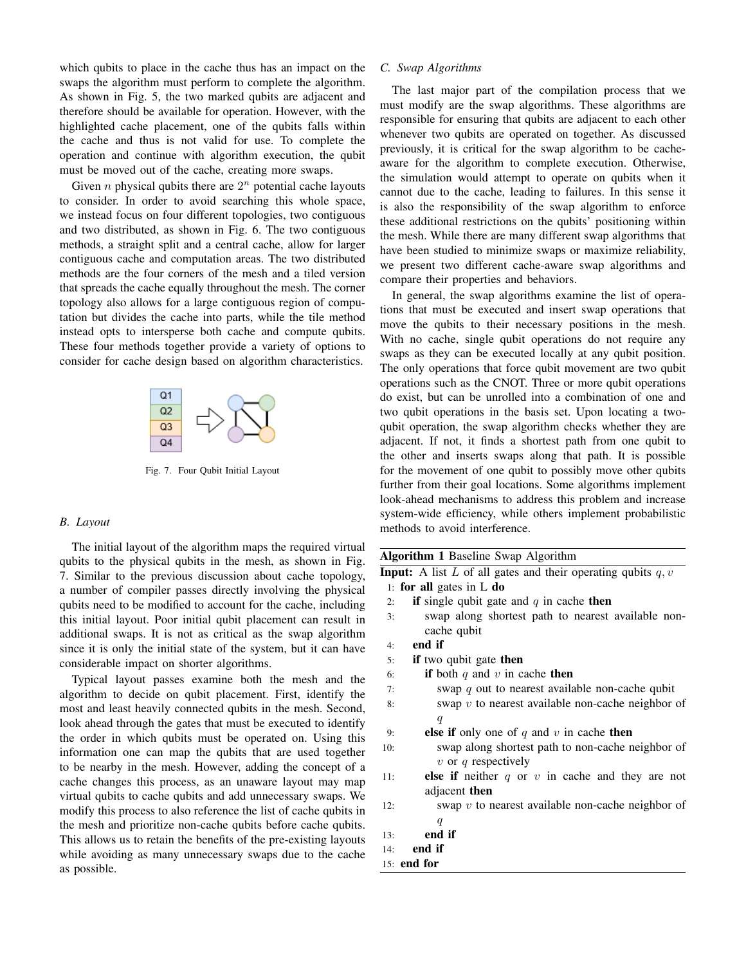which qubits to place in the cache thus has an impact on the swaps the algorithm must perform to complete the algorithm. As shown in Fig. 5, the two marked qubits are adjacent and therefore should be available for operation. However, with the highlighted cache placement, one of the qubits falls within the cache and thus is not valid for use. To complete the operation and continue with algorithm execution, the qubit must be moved out of the cache, creating more swaps.

Given *n* physical qubits there are  $2^n$  potential cache layouts to consider. In order to avoid searching this whole space, we instead focus on four different topologies, two contiguous and two distributed, as shown in Fig. 6. The two contiguous methods, a straight split and a central cache, allow for larger contiguous cache and computation areas. The two distributed methods are the four corners of the mesh and a tiled version that spreads the cache equally throughout the mesh. The corner topology also allows for a large contiguous region of computation but divides the cache into parts, while the tile method instead opts to intersperse both cache and compute qubits. These four methods together provide a variety of options to consider for cache design based on algorithm characteristics.



Fig. 7. Four Qubit Initial Layout

#### *B. Layout*

The initial layout of the algorithm maps the required virtual qubits to the physical qubits in the mesh, as shown in Fig. 7. Similar to the previous discussion about cache topology, a number of compiler passes directly involving the physical qubits need to be modified to account for the cache, including this initial layout. Poor initial qubit placement can result in additional swaps. It is not as critical as the swap algorithm since it is only the initial state of the system, but it can have considerable impact on shorter algorithms.

Typical layout passes examine both the mesh and the algorithm to decide on qubit placement. First, identify the most and least heavily connected qubits in the mesh. Second, look ahead through the gates that must be executed to identify the order in which qubits must be operated on. Using this information one can map the qubits that are used together to be nearby in the mesh. However, adding the concept of a cache changes this process, as an unaware layout may map virtual qubits to cache qubits and add unnecessary swaps. We modify this process to also reference the list of cache qubits in the mesh and prioritize non-cache qubits before cache qubits. This allows us to retain the benefits of the pre-existing layouts while avoiding as many unnecessary swaps due to the cache as possible.

# *C. Swap Algorithms*

The last major part of the compilation process that we must modify are the swap algorithms. These algorithms are responsible for ensuring that qubits are adjacent to each other whenever two qubits are operated on together. As discussed previously, it is critical for the swap algorithm to be cacheaware for the algorithm to complete execution. Otherwise, the simulation would attempt to operate on qubits when it cannot due to the cache, leading to failures. In this sense it is also the responsibility of the swap algorithm to enforce these additional restrictions on the qubits' positioning within the mesh. While there are many different swap algorithms that have been studied to minimize swaps or maximize reliability, we present two different cache-aware swap algorithms and compare their properties and behaviors.

In general, the swap algorithms examine the list of operations that must be executed and insert swap operations that move the qubits to their necessary positions in the mesh. With no cache, single qubit operations do not require any swaps as they can be executed locally at any qubit position. The only operations that force qubit movement are two qubit operations such as the CNOT. Three or more qubit operations do exist, but can be unrolled into a combination of one and two qubit operations in the basis set. Upon locating a twoqubit operation, the swap algorithm checks whether they are adjacent. If not, it finds a shortest path from one qubit to the other and inserts swaps along that path. It is possible for the movement of one qubit to possibly move other qubits further from their goal locations. Some algorithms implement look-ahead mechanisms to address this problem and increase system-wide efficiency, while others implement probabilistic methods to avoid interference.

|     | <b>Algorithm 1 Baseline Swap Algorithm</b>                            |
|-----|-----------------------------------------------------------------------|
|     | <b>Input:</b> A list L of all gates and their operating qubits $q, v$ |
|     | 1: for all gates in $L$ do                                            |
| 2:  | <b>if</b> single qubit gate and $q$ in cache then                     |
| 3:  | swap along shortest path to nearest available non-                    |
|     | cache qubit                                                           |
| 4:  | end if                                                                |
| 5:  | if two qubit gate then                                                |
| 6:  | if both q and v in cache then                                         |
| 7:  | swap q out to nearest available non-cache qubit                       |
| 8:  | swap $v$ to nearest available non-cache neighbor of                   |
|     | q                                                                     |
| 9:  | <b>else if</b> only one of q and v in cache then                      |
| 10: | swap along shortest path to non-cache neighbor of                     |
|     | $v$ or q respectively                                                 |
| 11: | else if neither $q$ or $v$ in cache and they are not                  |
|     | adjacent <b>then</b>                                                  |
| 12: | swap $v$ to nearest available non-cache neighbor of                   |
|     | $\boldsymbol{q}$                                                      |
| 13: | end if                                                                |
| 14: | end if                                                                |
|     | 15: end for                                                           |
|     |                                                                       |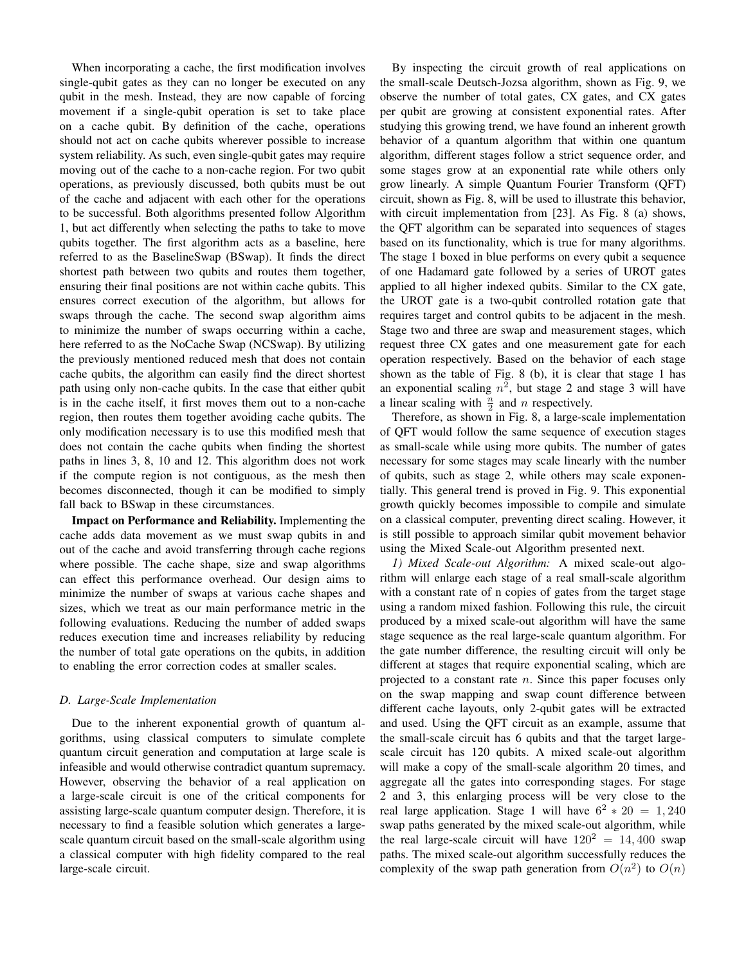When incorporating a cache, the first modification involves single-qubit gates as they can no longer be executed on any qubit in the mesh. Instead, they are now capable of forcing movement if a single-qubit operation is set to take place on a cache qubit. By definition of the cache, operations should not act on cache qubits wherever possible to increase system reliability. As such, even single-qubit gates may require moving out of the cache to a non-cache region. For two qubit operations, as previously discussed, both qubits must be out of the cache and adjacent with each other for the operations to be successful. Both algorithms presented follow Algorithm 1, but act differently when selecting the paths to take to move qubits together. The first algorithm acts as a baseline, here referred to as the BaselineSwap (BSwap). It finds the direct shortest path between two qubits and routes them together, ensuring their final positions are not within cache qubits. This ensures correct execution of the algorithm, but allows for swaps through the cache. The second swap algorithm aims to minimize the number of swaps occurring within a cache, here referred to as the NoCache Swap (NCSwap). By utilizing the previously mentioned reduced mesh that does not contain cache qubits, the algorithm can easily find the direct shortest path using only non-cache qubits. In the case that either qubit is in the cache itself, it first moves them out to a non-cache region, then routes them together avoiding cache qubits. The only modification necessary is to use this modified mesh that does not contain the cache qubits when finding the shortest paths in lines 3, 8, 10 and 12. This algorithm does not work if the compute region is not contiguous, as the mesh then becomes disconnected, though it can be modified to simply fall back to BSwap in these circumstances.

Impact on Performance and Reliability. Implementing the cache adds data movement as we must swap qubits in and out of the cache and avoid transferring through cache regions where possible. The cache shape, size and swap algorithms can effect this performance overhead. Our design aims to minimize the number of swaps at various cache shapes and sizes, which we treat as our main performance metric in the following evaluations. Reducing the number of added swaps reduces execution time and increases reliability by reducing the number of total gate operations on the qubits, in addition to enabling the error correction codes at smaller scales.

## *D. Large-Scale Implementation*

Due to the inherent exponential growth of quantum algorithms, using classical computers to simulate complete quantum circuit generation and computation at large scale is infeasible and would otherwise contradict quantum supremacy. However, observing the behavior of a real application on a large-scale circuit is one of the critical components for assisting large-scale quantum computer design. Therefore, it is necessary to find a feasible solution which generates a largescale quantum circuit based on the small-scale algorithm using a classical computer with high fidelity compared to the real large-scale circuit.

By inspecting the circuit growth of real applications on the small-scale Deutsch-Jozsa algorithm, shown as Fig. 9, we observe the number of total gates, CX gates, and CX gates per qubit are growing at consistent exponential rates. After studying this growing trend, we have found an inherent growth behavior of a quantum algorithm that within one quantum algorithm, different stages follow a strict sequence order, and some stages grow at an exponential rate while others only grow linearly. A simple Quantum Fourier Transform (QFT) circuit, shown as Fig. 8, will be used to illustrate this behavior, with circuit implementation from [23]. As Fig. 8 (a) shows, the QFT algorithm can be separated into sequences of stages based on its functionality, which is true for many algorithms. The stage 1 boxed in blue performs on every qubit a sequence of one Hadamard gate followed by a series of UROT gates applied to all higher indexed qubits. Similar to the CX gate, the UROT gate is a two-qubit controlled rotation gate that requires target and control qubits to be adjacent in the mesh. Stage two and three are swap and measurement stages, which request three CX gates and one measurement gate for each operation respectively. Based on the behavior of each stage shown as the table of Fig. 8 (b), it is clear that stage 1 has an exponential scaling  $n^2$ , but stage 2 and stage 3 will have a linear scaling with  $\frac{n}{2}$  and n respectively.

Therefore, as shown in Fig. 8, a large-scale implementation of QFT would follow the same sequence of execution stages as small-scale while using more qubits. The number of gates necessary for some stages may scale linearly with the number of qubits, such as stage 2, while others may scale exponentially. This general trend is proved in Fig. 9. This exponential growth quickly becomes impossible to compile and simulate on a classical computer, preventing direct scaling. However, it is still possible to approach similar qubit movement behavior using the Mixed Scale-out Algorithm presented next.

*1) Mixed Scale-out Algorithm:* A mixed scale-out algorithm will enlarge each stage of a real small-scale algorithm with a constant rate of n copies of gates from the target stage using a random mixed fashion. Following this rule, the circuit produced by a mixed scale-out algorithm will have the same stage sequence as the real large-scale quantum algorithm. For the gate number difference, the resulting circuit will only be different at stages that require exponential scaling, which are projected to a constant rate  $n$ . Since this paper focuses only on the swap mapping and swap count difference between different cache layouts, only 2-qubit gates will be extracted and used. Using the QFT circuit as an example, assume that the small-scale circuit has 6 qubits and that the target largescale circuit has 120 qubits. A mixed scale-out algorithm will make a copy of the small-scale algorithm 20 times, and aggregate all the gates into corresponding stages. For stage 2 and 3, this enlarging process will be very close to the real large application. Stage 1 will have  $6^2 * 20 = 1,240$ swap paths generated by the mixed scale-out algorithm, while the real large-scale circuit will have  $120^2 = 14,400$  swap paths. The mixed scale-out algorithm successfully reduces the complexity of the swap path generation from  $O(n^2)$  to  $O(n)$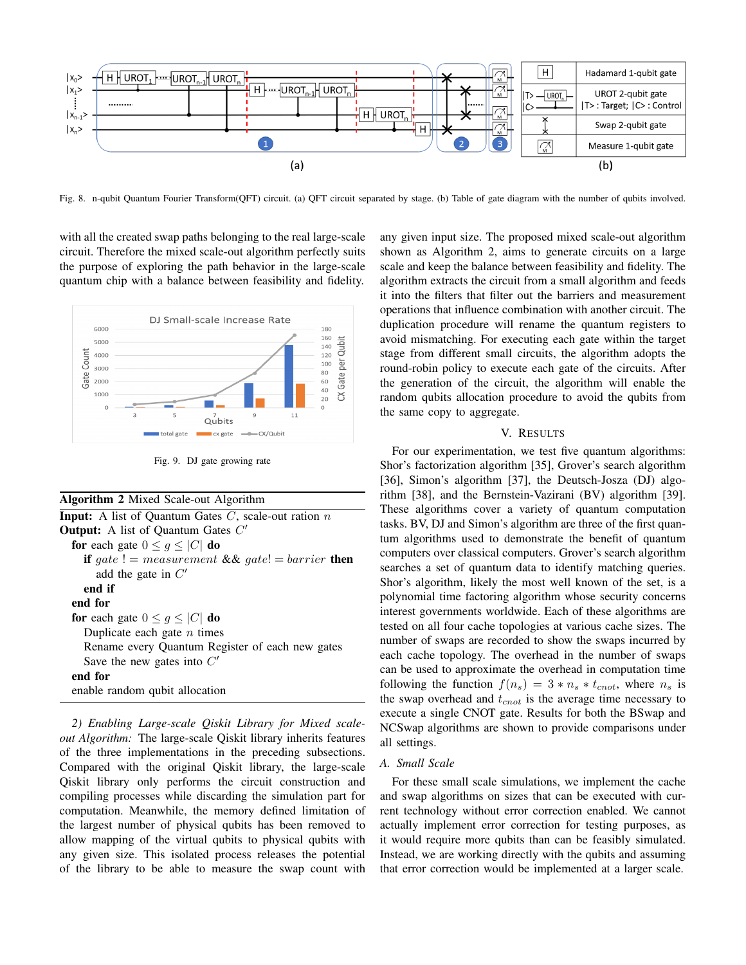

Fig. 8. n-qubit Quantum Fourier Transform(QFT) circuit. (a) QFT circuit separated by stage. (b) Table of gate diagram with the number of qubits involved.

with all the created swap paths belonging to the real large-scale circuit. Therefore the mixed scale-out algorithm perfectly suits the purpose of exploring the path behavior in the large-scale quantum chip with a balance between feasibility and fidelity.



Fig. 9. DJ gate growing rate

| <b>Algorithm 2</b> Mixed Scale-out Algorithm |  |  |  |  |
|----------------------------------------------|--|--|--|--|
|----------------------------------------------|--|--|--|--|

| <b>Input:</b> A list of Quantum Gates $C$ , scale-out ration $n$ |
|------------------------------------------------------------------|
| <b>Output:</b> A list of Quantum Gates $C'$                      |
| for each gate $0 \leq g \leq  C $ do                             |
| <b>if</b> gate ! = measurement && gate! = barrier <b>then</b>    |
| add the gate in $C'$                                             |
| end if                                                           |
| end for                                                          |
| for each gate $0 \leq g \leq  C $ do                             |
| Duplicate each gate $n$ times                                    |
| Rename every Quantum Register of each new gates                  |
| Save the new gates into $C'$                                     |
| end for                                                          |
| enable random qubit allocation                                   |

*2) Enabling Large-scale Qiskit Library for Mixed scaleout Algorithm:* The large-scale Qiskit library inherits features of the three implementations in the preceding subsections. Compared with the original Qiskit library, the large-scale Qiskit library only performs the circuit construction and compiling processes while discarding the simulation part for computation. Meanwhile, the memory defined limitation of the largest number of physical qubits has been removed to allow mapping of the virtual qubits to physical qubits with any given size. This isolated process releases the potential of the library to be able to measure the swap count with any given input size. The proposed mixed scale-out algorithm shown as Algorithm 2, aims to generate circuits on a large scale and keep the balance between feasibility and fidelity. The algorithm extracts the circuit from a small algorithm and feeds it into the filters that filter out the barriers and measurement operations that influence combination with another circuit. The duplication procedure will rename the quantum registers to avoid mismatching. For executing each gate within the target stage from different small circuits, the algorithm adopts the round-robin policy to execute each gate of the circuits. After the generation of the circuit, the algorithm will enable the random qubits allocation procedure to avoid the qubits from the same copy to aggregate.

#### V. RESULTS

For our experimentation, we test five quantum algorithms: Shor's factorization algorithm [35], Grover's search algorithm [36], Simon's algorithm [37], the Deutsch-Josza (DJ) algorithm [38], and the Bernstein-Vazirani (BV) algorithm [39]. These algorithms cover a variety of quantum computation tasks. BV, DJ and Simon's algorithm are three of the first quantum algorithms used to demonstrate the benefit of quantum computers over classical computers. Grover's search algorithm searches a set of quantum data to identify matching queries. Shor's algorithm, likely the most well known of the set, is a polynomial time factoring algorithm whose security concerns interest governments worldwide. Each of these algorithms are tested on all four cache topologies at various cache sizes. The number of swaps are recorded to show the swaps incurred by each cache topology. The overhead in the number of swaps can be used to approximate the overhead in computation time following the function  $f(n_s) = 3 * n_s * t_{cnot}$ , where  $n_s$  is the swap overhead and  $t_{cnot}$  is the average time necessary to execute a single CNOT gate. Results for both the BSwap and NCSwap algorithms are shown to provide comparisons under all settings.

#### *A. Small Scale*

For these small scale simulations, we implement the cache and swap algorithms on sizes that can be executed with current technology without error correction enabled. We cannot actually implement error correction for testing purposes, as it would require more qubits than can be feasibly simulated. Instead, we are working directly with the qubits and assuming that error correction would be implemented at a larger scale.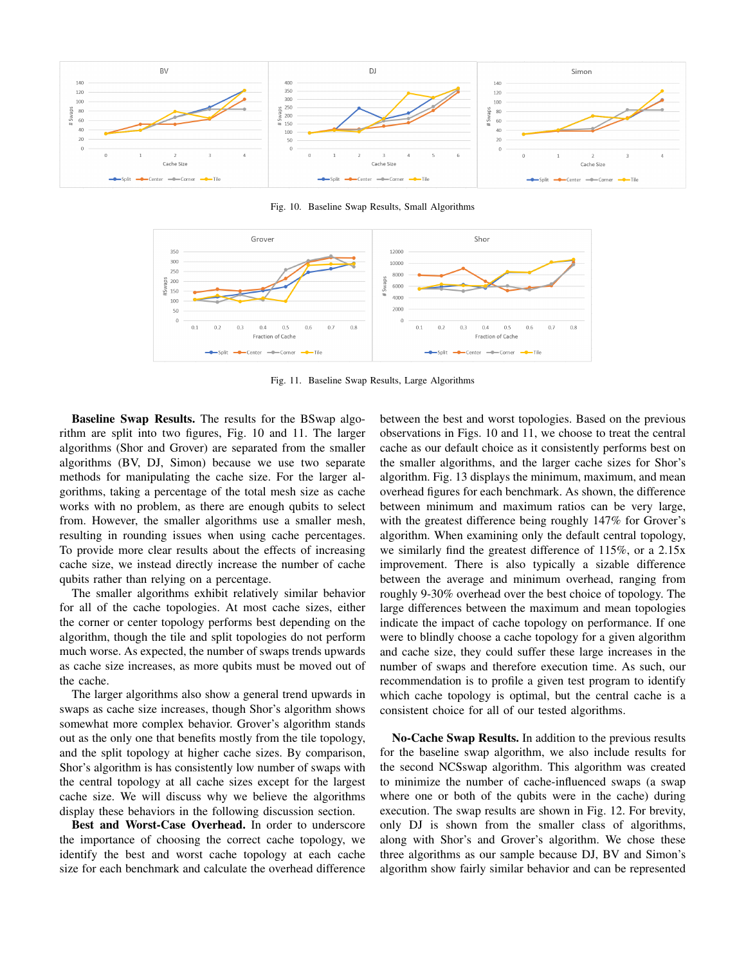

Fig. 10. Baseline Swap Results, Small Algorithms



Fig. 11. Baseline Swap Results, Large Algorithms

Baseline Swap Results. The results for the BSwap algorithm are split into two figures, Fig. 10 and 11. The larger algorithms (Shor and Grover) are separated from the smaller algorithms (BV, DJ, Simon) because we use two separate methods for manipulating the cache size. For the larger algorithms, taking a percentage of the total mesh size as cache works with no problem, as there are enough qubits to select from. However, the smaller algorithms use a smaller mesh, resulting in rounding issues when using cache percentages. To provide more clear results about the effects of increasing cache size, we instead directly increase the number of cache qubits rather than relying on a percentage.

The smaller algorithms exhibit relatively similar behavior for all of the cache topologies. At most cache sizes, either the corner or center topology performs best depending on the algorithm, though the tile and split topologies do not perform much worse. As expected, the number of swaps trends upwards as cache size increases, as more qubits must be moved out of the cache.

The larger algorithms also show a general trend upwards in swaps as cache size increases, though Shor's algorithm shows somewhat more complex behavior. Grover's algorithm stands out as the only one that benefits mostly from the tile topology, and the split topology at higher cache sizes. By comparison, Shor's algorithm is has consistently low number of swaps with the central topology at all cache sizes except for the largest cache size. We will discuss why we believe the algorithms display these behaviors in the following discussion section.

Best and Worst-Case Overhead. In order to underscore the importance of choosing the correct cache topology, we identify the best and worst cache topology at each cache size for each benchmark and calculate the overhead difference between the best and worst topologies. Based on the previous observations in Figs. 10 and 11, we choose to treat the central cache as our default choice as it consistently performs best on the smaller algorithms, and the larger cache sizes for Shor's algorithm. Fig. 13 displays the minimum, maximum, and mean overhead figures for each benchmark. As shown, the difference between minimum and maximum ratios can be very large, with the greatest difference being roughly 147% for Grover's algorithm. When examining only the default central topology, we similarly find the greatest difference of 115%, or a 2.15x improvement. There is also typically a sizable difference between the average and minimum overhead, ranging from roughly 9-30% overhead over the best choice of topology. The large differences between the maximum and mean topologies indicate the impact of cache topology on performance. If one were to blindly choose a cache topology for a given algorithm and cache size, they could suffer these large increases in the number of swaps and therefore execution time. As such, our recommendation is to profile a given test program to identify which cache topology is optimal, but the central cache is a consistent choice for all of our tested algorithms.

No-Cache Swap Results. In addition to the previous results for the baseline swap algorithm, we also include results for the second NCSswap algorithm. This algorithm was created to minimize the number of cache-influenced swaps (a swap where one or both of the qubits were in the cache) during execution. The swap results are shown in Fig. 12. For brevity, only DJ is shown from the smaller class of algorithms, along with Shor's and Grover's algorithm. We chose these three algorithms as our sample because DJ, BV and Simon's algorithm show fairly similar behavior and can be represented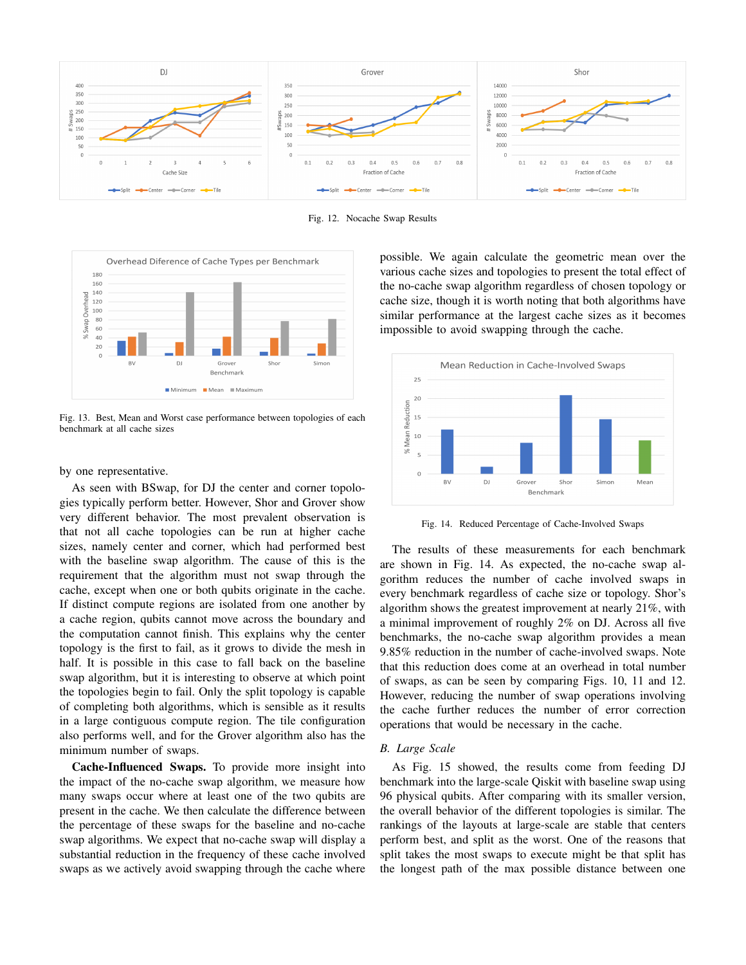

Fig. 12. Nocache Swap Results



Fig. 13. Best, Mean and Worst case performance between topologies of each benchmark at all cache sizes

by one representative.

As seen with BSwap, for DJ the center and corner topologies typically perform better. However, Shor and Grover show very different behavior. The most prevalent observation is that not all cache topologies can be run at higher cache sizes, namely center and corner, which had performed best with the baseline swap algorithm. The cause of this is the requirement that the algorithm must not swap through the cache, except when one or both qubits originate in the cache. If distinct compute regions are isolated from one another by a cache region, qubits cannot move across the boundary and the computation cannot finish. This explains why the center topology is the first to fail, as it grows to divide the mesh in half. It is possible in this case to fall back on the baseline swap algorithm, but it is interesting to observe at which point the topologies begin to fail. Only the split topology is capable of completing both algorithms, which is sensible as it results in a large contiguous compute region. The tile configuration also performs well, and for the Grover algorithm also has the minimum number of swaps.

Cache-Influenced Swaps. To provide more insight into the impact of the no-cache swap algorithm, we measure how many swaps occur where at least one of the two qubits are present in the cache. We then calculate the difference between the percentage of these swaps for the baseline and no-cache swap algorithms. We expect that no-cache swap will display a substantial reduction in the frequency of these cache involved swaps as we actively avoid swapping through the cache where

possible. We again calculate the geometric mean over the various cache sizes and topologies to present the total effect of the no-cache swap algorithm regardless of chosen topology or cache size, though it is worth noting that both algorithms have similar performance at the largest cache sizes as it becomes impossible to avoid swapping through the cache.



Fig. 14. Reduced Percentage of Cache-Involved Swaps

The results of these measurements for each benchmark are shown in Fig. 14. As expected, the no-cache swap algorithm reduces the number of cache involved swaps in every benchmark regardless of cache size or topology. Shor's algorithm shows the greatest improvement at nearly 21%, with a minimal improvement of roughly 2% on DJ. Across all five benchmarks, the no-cache swap algorithm provides a mean 9.85% reduction in the number of cache-involved swaps. Note that this reduction does come at an overhead in total number of swaps, as can be seen by comparing Figs. 10, 11 and 12. However, reducing the number of swap operations involving the cache further reduces the number of error correction operations that would be necessary in the cache.

#### *B. Large Scale*

As Fig. 15 showed, the results come from feeding DJ benchmark into the large-scale Qiskit with baseline swap using 96 physical qubits. After comparing with its smaller version, the overall behavior of the different topologies is similar. The rankings of the layouts at large-scale are stable that centers perform best, and split as the worst. One of the reasons that split takes the most swaps to execute might be that split has the longest path of the max possible distance between one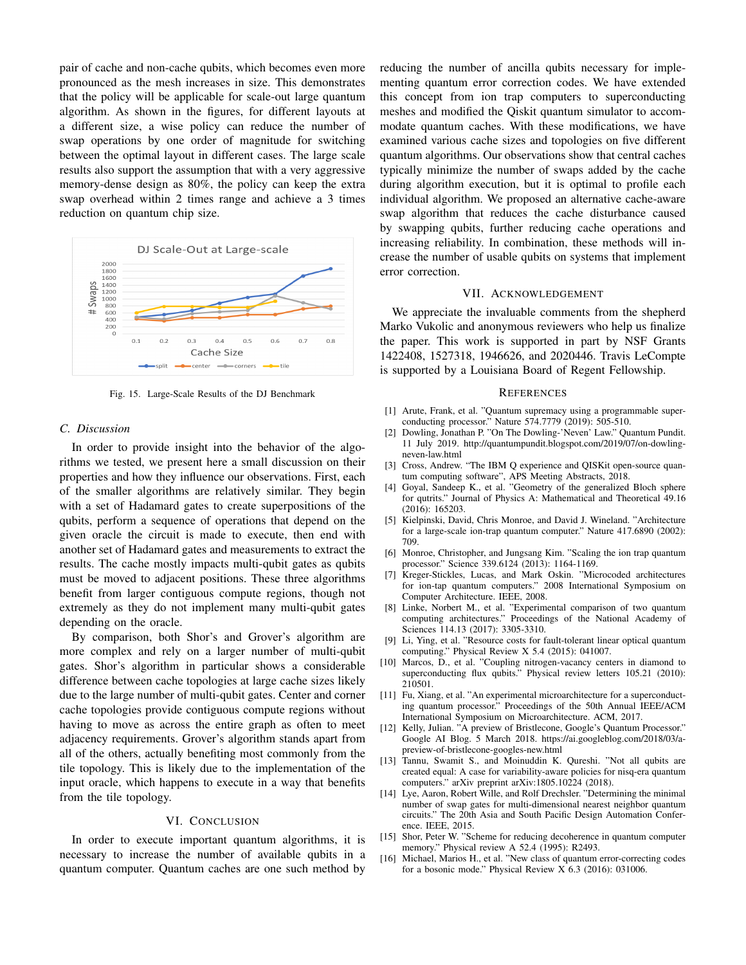pair of cache and non-cache qubits, which becomes even more pronounced as the mesh increases in size. This demonstrates that the policy will be applicable for scale-out large quantum algorithm. As shown in the figures, for different layouts at a different size, a wise policy can reduce the number of swap operations by one order of magnitude for switching between the optimal layout in different cases. The large scale results also support the assumption that with a very aggressive memory-dense design as 80%, the policy can keep the extra swap overhead within 2 times range and achieve a 3 times reduction on quantum chip size.



Fig. 15. Large-Scale Results of the DJ Benchmark

# *C. Discussion*

In order to provide insight into the behavior of the algorithms we tested, we present here a small discussion on their properties and how they influence our observations. First, each of the smaller algorithms are relatively similar. They begin with a set of Hadamard gates to create superpositions of the qubits, perform a sequence of operations that depend on the given oracle the circuit is made to execute, then end with another set of Hadamard gates and measurements to extract the results. The cache mostly impacts multi-qubit gates as qubits must be moved to adjacent positions. These three algorithms benefit from larger contiguous compute regions, though not extremely as they do not implement many multi-qubit gates depending on the oracle.

By comparison, both Shor's and Grover's algorithm are more complex and rely on a larger number of multi-qubit gates. Shor's algorithm in particular shows a considerable difference between cache topologies at large cache sizes likely due to the large number of multi-qubit gates. Center and corner cache topologies provide contiguous compute regions without having to move as across the entire graph as often to meet adjacency requirements. Grover's algorithm stands apart from all of the others, actually benefiting most commonly from the tile topology. This is likely due to the implementation of the input oracle, which happens to execute in a way that benefits from the tile topology.

## VI. CONCLUSION

In order to execute important quantum algorithms, it is necessary to increase the number of available qubits in a quantum computer. Quantum caches are one such method by reducing the number of ancilla qubits necessary for implementing quantum error correction codes. We have extended this concept from ion trap computers to superconducting meshes and modified the Qiskit quantum simulator to accommodate quantum caches. With these modifications, we have examined various cache sizes and topologies on five different quantum algorithms. Our observations show that central caches typically minimize the number of swaps added by the cache during algorithm execution, but it is optimal to profile each individual algorithm. We proposed an alternative cache-aware swap algorithm that reduces the cache disturbance caused by swapping qubits, further reducing cache operations and increasing reliability. In combination, these methods will increase the number of usable qubits on systems that implement error correction.

## VII. ACKNOWLEDGEMENT

We appreciate the invaluable comments from the shepherd Marko Vukolic and anonymous reviewers who help us finalize the paper. This work is supported in part by NSF Grants 1422408, 1527318, 1946626, and 2020446. Travis LeCompte is supported by a Louisiana Board of Regent Fellowship.

#### **REFERENCES**

- [1] Arute, Frank, et al. "Quantum supremacy using a programmable superconducting processor." Nature 574.7779 (2019): 505-510.
- [2] Dowling, Jonathan P. "On The Dowling-'Neven' Law." Quantum Pundit. 11 July 2019. http://quantumpundit.blogspot.com/2019/07/on-dowlingneven-law.html
- [3] Cross, Andrew. "The IBM Q experience and QISKit open-source quantum computing software", APS Meeting Abstracts, 2018.
- [4] Goyal, Sandeep K., et al. "Geometry of the generalized Bloch sphere for qutrits." Journal of Physics A: Mathematical and Theoretical 49.16 (2016): 165203.
- [5] Kielpinski, David, Chris Monroe, and David J. Wineland. "Architecture for a large-scale ion-trap quantum computer." Nature 417.6890 (2002): 709.
- [6] Monroe, Christopher, and Jungsang Kim. "Scaling the ion trap quantum processor." Science 339.6124 (2013): 1164-1169.
- [7] Kreger-Stickles, Lucas, and Mark Oskin. "Microcoded architectures for ion-tap quantum computers." 2008 International Symposium on Computer Architecture. IEEE, 2008.
- [8] Linke, Norbert M., et al. "Experimental comparison of two quantum computing architectures." Proceedings of the National Academy of Sciences 114.13 (2017): 3305-3310.
- [9] Li, Ying, et al. "Resource costs for fault-tolerant linear optical quantum computing." Physical Review X 5.4 (2015): 041007.
- [10] Marcos, D., et al. "Coupling nitrogen-vacancy centers in diamond to superconducting flux qubits." Physical review letters 105.21 (2010): 210501.
- [11] Fu, Xiang, et al. "An experimental microarchitecture for a superconducting quantum processor." Proceedings of the 50th Annual IEEE/ACM International Symposium on Microarchitecture. ACM, 2017.
- [12] Kelly, Julian. "A preview of Bristlecone, Google's Quantum Processor." Google AI Blog. 5 March 2018. https://ai.googleblog.com/2018/03/apreview-of-bristlecone-googles-new.html
- [13] Tannu, Swamit S., and Moinuddin K. Qureshi. "Not all qubits are created equal: A case for variability-aware policies for nisq-era quantum computers." arXiv preprint arXiv:1805.10224 (2018).
- [14] Lye, Aaron, Robert Wille, and Rolf Drechsler. "Determining the minimal number of swap gates for multi-dimensional nearest neighbor quantum circuits." The 20th Asia and South Pacific Design Automation Conference. IEEE, 2015.
- [15] Shor, Peter W. "Scheme for reducing decoherence in quantum computer memory." Physical review A 52.4 (1995): R2493.
- [16] Michael, Marios H., et al. "New class of quantum error-correcting codes for a bosonic mode." Physical Review X 6.3 (2016): 031006.